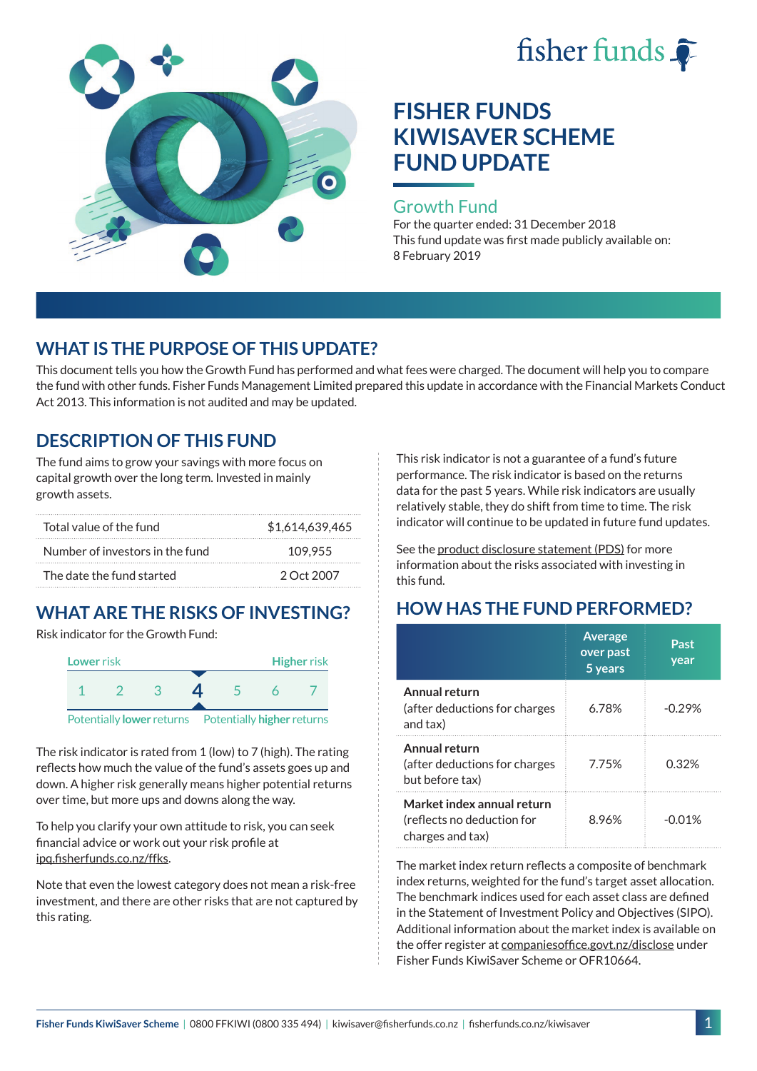



#### Growth Fund

For the quarter ended: 31 December 2018 This fund update was first made publicly available on: 8 February 2019

## **WHAT IS THE PURPOSE OF THIS UPDATE?**

This document tells you how the Growth Fund has performed and what fees were charged. The document will help you to compare the fund with other funds. Fisher Funds Management Limited prepared this update in accordance with the Financial Markets Conduct Act 2013. This information is not audited and may be updated.

## **DESCRIPTION OF THIS FUND**

The fund aims to grow your savings with more focus on capital growth over the long term. Invested in mainly growth assets.

| Total value of the fund         | \$1.614.639.465 |
|---------------------------------|-----------------|
| Number of investors in the fund | 109.955         |
| The date the fund started       | 2 Oct 2007      |

# **WHAT ARE THE RISKS OF INVESTING?**

Risk indicator for the Growth Fund:



The risk indicator is rated from 1 (low) to 7 (high). The rating reflects how much the value of the fund's assets goes up and down. A higher risk generally means higher potential returns over time, but more ups and downs along the way.

To help you clarify your own attitude to risk, you can seek financial advice or work out your risk profile at [ipq.fisherfunds.co.nz/ffks](https://ipq.fisherfunds.co.nz/ffks).

Note that even the lowest category does not mean a risk-free investment, and there are other risks that are not captured by this rating.

This risk indicator is not a guarantee of a fund's future performance. The risk indicator is based on the returns data for the past 5 years. While risk indicators are usually relatively stable, they do shift from time to time. The risk indicator will continue to be updated in future fund updates.

See the [product disclosure statement \(PDS\)](https://fisherfunds.co.nz/assets/PDS/Fisher-Funds-KiwiSaver-Scheme-PDS.pdf) for more information about the risks associated with investing in this fund.

## **HOW HAS THE FUND PERFORMED?**

|                                                                              | <b>Average</b><br>over past<br>5 years | Past<br>year |
|------------------------------------------------------------------------------|----------------------------------------|--------------|
| Annual return<br>(after deductions for charges<br>and tax)                   | 6.78%                                  | $-0.29%$     |
| Annual return<br>(after deductions for charges<br>but before tax)            | 7.75%                                  | 0.32%        |
| Market index annual return<br>(reflects no deduction for<br>charges and tax) | 8.96%                                  | -001%        |

The market index return reflects a composite of benchmark index returns, weighted for the fund's target asset allocation. The benchmark indices used for each asset class are defined in the Statement of Investment Policy and Objectives (SIPO). Additional information about the market index is available on the offer register at [companiesoffice.govt.nz/disclose](http://companiesoffice.govt.nz/disclose) under Fisher Funds KiwiSaver Scheme or OFR10664.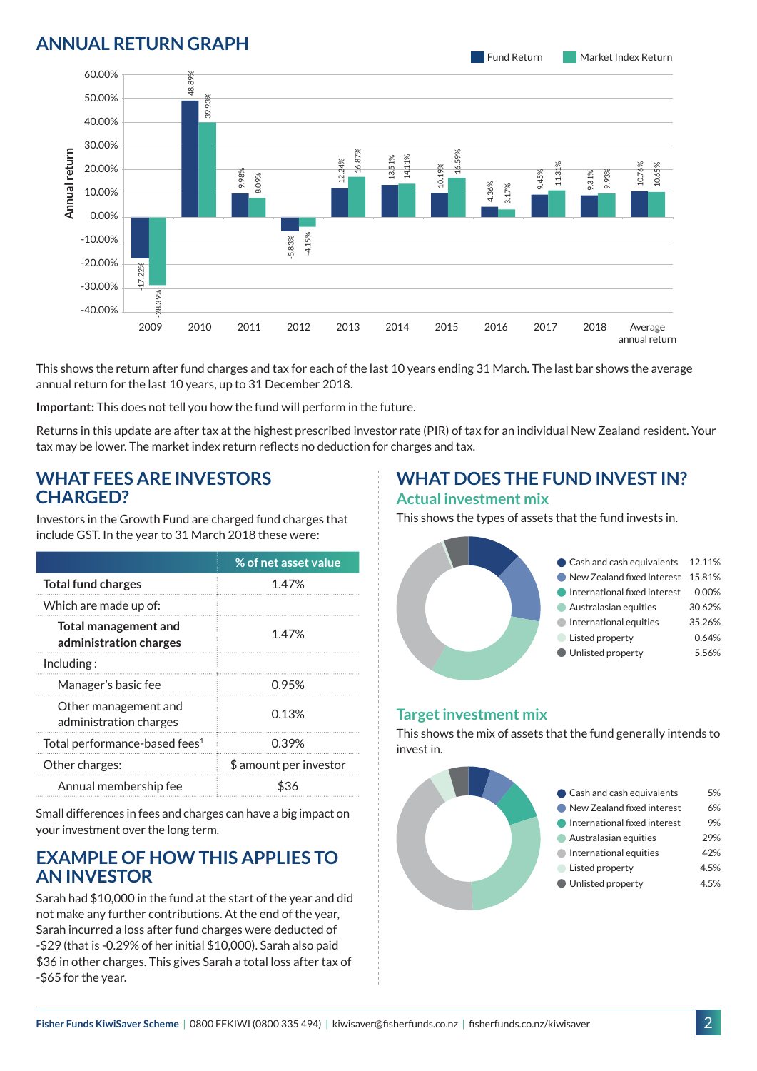## Total performance-based fees $^1$   $\qquad \qquad 0.39\%$ Other charges:  $\qquad \qquad \updownarrow$  amount per investor Annual membership fee  $$36$ invest in.



#### **ANNUAL RETURN GRAPH**

This shows the return after fund charges and tax for each of the last 10 years ending 31 March. The last bar shows the average annual return for the last 10 years, up to 31 December 2018.

2009 2010 2011 2012 2013 2014 2015 2016 2017 2018 -17.22% -28.39% 48.89% 39.93% 9.98% 8.09% -5.83% -4.15% 13.51% 14.11% 4.36% 3.17%

 $\ddot{5}$ 

16.59%

12.24% 16.87%

**Important:** This does not tell you how the fund will perform in the future.

Returns in this update are after tax at the highest prescribed investor rate (PIR) of tax for an individual New Zealand resident. Your tax may be lower. The market index return reflects no deduction for charges and tax.

### **WHAT FEES ARE INVESTORS CHARGED?**

Investors in the Growth Fund are charged fund charges that include GST. In the year to 31 March 2018 these were:

|                                                       | % of net asset value   |
|-------------------------------------------------------|------------------------|
| <b>Total fund charges</b>                             | 1.47%                  |
| Which are made up of:                                 |                        |
| <b>Total management and</b><br>administration charges | 1.47%                  |
| Inding:                                               |                        |
| Manager's basic fee                                   | 0.95%                  |
| Other management and<br>administration charges        | 0.13%                  |
| Total performance-based fees <sup>1</sup>             | 0.39%                  |
| Other charges:                                        | \$ amount per investor |
| Annual membership fee                                 | \$36                   |

Small differences in fees and charges can have a big impact on your investment over the long term.

## **EXAMPLE OF HOW THIS APPLIES TO AN INVESTOR**

Sarah had \$10,000 in the fund at the start of the year and did not make any further contributions. At the end of the year, Sarah incurred a loss after fund charges were deducted of -\$29 (that is -0.29% of her initial \$10,000). Sarah also paid \$36 in other charges. This gives Sarah a total loss after tax of -\$65 for the year.

#### **WHAT DOES THE FUND INVEST IN? Actual investment mix**

9.45% 11.31%

This shows the types of assets that the fund invests in.



## **Target investment mix**

This shows the mix of assets that the fund generally intends to



9.31% 9.93%

> Average annual return

10.76% 10.65%

60.00% 50.00% 40.00% 30.00% 20.00% 10.00% 0.00% -10.00% -20.00% -30.00% -40.00%

**Annual return**

Annual return